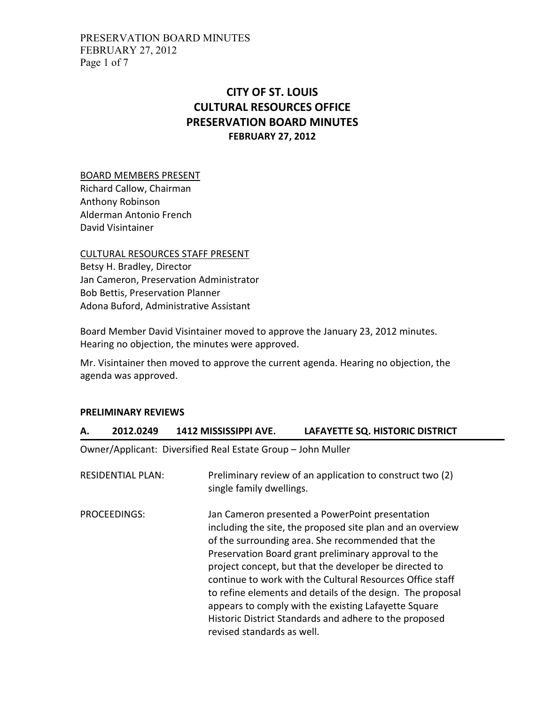PRESERVATION BOARD MINUTES FEBRUARY 27, 2012 Page 1 of 7

# CITY OF ST. LOUIS CULTURAL RESOURCES OFFICE PRESERVATION BOARD MINUTES FEBRUARY 27, 2012

BOARD MEMBERS PRESENT

Richard Callow, Chairman Anthony Robinson Alderman Antonio French David Visintainer

CULTURAL RESOURCES STAFF PRESENT

Betsy H. Bradley, Director Jan Cameron, Preservation Administrator Bob Bettis, Preservation Planner Adona Buford, Administrative Assistant

Board Member David Visintainer moved to approve the January 23, 2012 minutes. Hearing no objection, the minutes were approved.

Mr. Visintainer then moved to approve the current agenda. Hearing no objection, the agenda was approved.

### PRELIMINARY REVIEWS

## A. 2012.0249 1412 MISSISSIPPI AVE. LAFAYETTE SQ. HISTORIC DISTRICT

Owner/Applicant: Diversified Real Estate Group – John Muller

| <b>RESIDENTIAL PLAN:</b> | Preliminary review of an application to construct two (2)<br>single family dwellings.                                                                                                                                                                                                                                                                                                                                                                                                                                                                           |
|--------------------------|-----------------------------------------------------------------------------------------------------------------------------------------------------------------------------------------------------------------------------------------------------------------------------------------------------------------------------------------------------------------------------------------------------------------------------------------------------------------------------------------------------------------------------------------------------------------|
| PROCEEDINGS:             | Jan Cameron presented a PowerPoint presentation<br>including the site, the proposed site plan and an overview<br>of the surrounding area. She recommended that the<br>Preservation Board grant preliminary approval to the<br>project concept, but that the developer be directed to<br>continue to work with the Cultural Resources Office staff<br>to refine elements and details of the design. The proposal<br>appears to comply with the existing Lafayette Square<br>Historic District Standards and adhere to the proposed<br>revised standards as well. |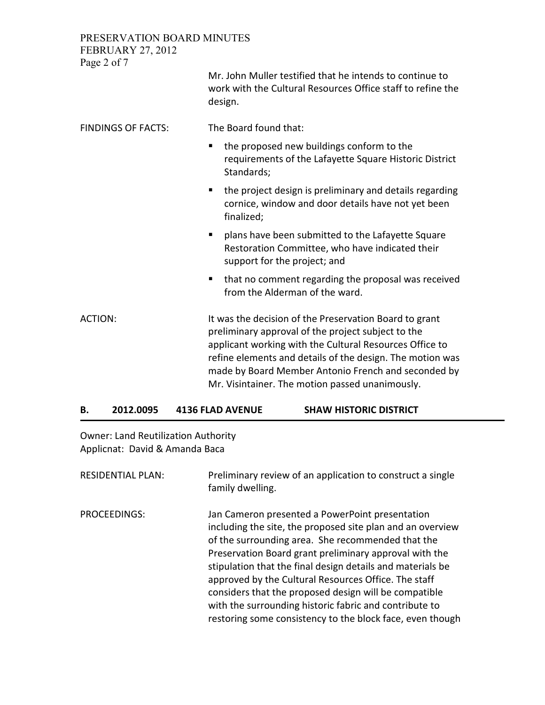PRESERVATION BOARD MINUTES FEBRUARY 27, 2012

| Page 2 of 7               |                                                                                                                                                                                                                                                                                                                                                |
|---------------------------|------------------------------------------------------------------------------------------------------------------------------------------------------------------------------------------------------------------------------------------------------------------------------------------------------------------------------------------------|
|                           | Mr. John Muller testified that he intends to continue to<br>work with the Cultural Resources Office staff to refine the<br>design.                                                                                                                                                                                                             |
| <b>FINDINGS OF FACTS:</b> | The Board found that:                                                                                                                                                                                                                                                                                                                          |
|                           | the proposed new buildings conform to the<br>п<br>requirements of the Lafayette Square Historic District<br>Standards;                                                                                                                                                                                                                         |
|                           | the project design is preliminary and details regarding<br>ш<br>cornice, window and door details have not yet been<br>finalized;                                                                                                                                                                                                               |
|                           | plans have been submitted to the Lafayette Square<br>٠<br>Restoration Committee, who have indicated their<br>support for the project; and                                                                                                                                                                                                      |
|                           | that no comment regarding the proposal was received<br>п<br>from the Alderman of the ward.                                                                                                                                                                                                                                                     |
| <b>ACTION:</b>            | It was the decision of the Preservation Board to grant<br>preliminary approval of the project subject to the<br>applicant working with the Cultural Resources Office to<br>refine elements and details of the design. The motion was<br>made by Board Member Antonio French and seconded by<br>Mr. Visintainer. The motion passed unanimously. |

### B. 2012.0095 4136 FLAD AVENUE SHAW HISTORIC DISTRICT

Owner: Land Reutilization Authority Applicnat: David & Amanda Baca

| <b>RESIDENTIAL PLAN:</b> | Preliminary review of an application to construct a single<br>family dwelling.                                                                                                                                                                                                                                                                                                                                                                                                                                                     |
|--------------------------|------------------------------------------------------------------------------------------------------------------------------------------------------------------------------------------------------------------------------------------------------------------------------------------------------------------------------------------------------------------------------------------------------------------------------------------------------------------------------------------------------------------------------------|
| <b>PROCEEDINGS:</b>      | Jan Cameron presented a PowerPoint presentation<br>including the site, the proposed site plan and an overview<br>of the surrounding area. She recommended that the<br>Preservation Board grant preliminary approval with the<br>stipulation that the final design details and materials be<br>approved by the Cultural Resources Office. The staff<br>considers that the proposed design will be compatible<br>with the surrounding historic fabric and contribute to<br>restoring some consistency to the block face, even though |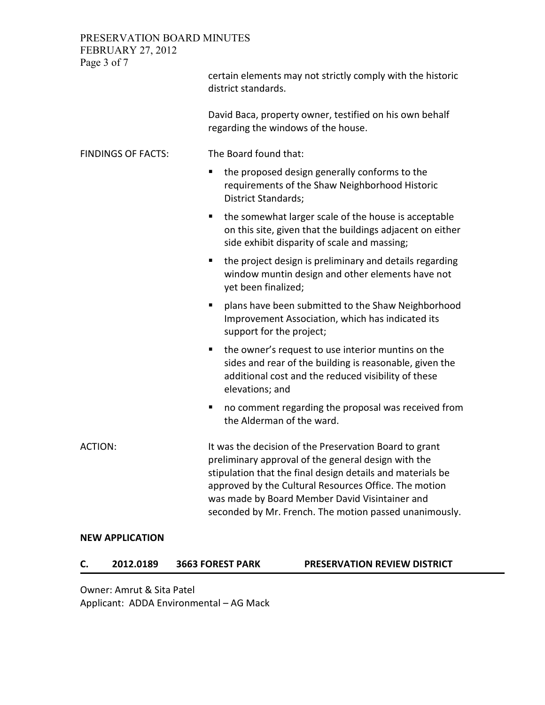PRESERVATION BOARD MINUTES FEBRUARY 27, 2012

| $20101 \text{ m}$<br>Page 3 of 7 |                                                                                                                                                                                                                                                                                                                                                  |
|----------------------------------|--------------------------------------------------------------------------------------------------------------------------------------------------------------------------------------------------------------------------------------------------------------------------------------------------------------------------------------------------|
|                                  | certain elements may not strictly comply with the historic<br>district standards.                                                                                                                                                                                                                                                                |
|                                  | David Baca, property owner, testified on his own behalf<br>regarding the windows of the house.                                                                                                                                                                                                                                                   |
| <b>FINDINGS OF FACTS:</b>        | The Board found that:                                                                                                                                                                                                                                                                                                                            |
|                                  | the proposed design generally conforms to the<br>п<br>requirements of the Shaw Neighborhood Historic<br><b>District Standards;</b>                                                                                                                                                                                                               |
|                                  | the somewhat larger scale of the house is acceptable<br>п<br>on this site, given that the buildings adjacent on either<br>side exhibit disparity of scale and massing;                                                                                                                                                                           |
|                                  | the project design is preliminary and details regarding<br>п<br>window muntin design and other elements have not<br>yet been finalized;                                                                                                                                                                                                          |
|                                  | plans have been submitted to the Shaw Neighborhood<br>п<br>Improvement Association, which has indicated its<br>support for the project;                                                                                                                                                                                                          |
|                                  | the owner's request to use interior muntins on the<br>п<br>sides and rear of the building is reasonable, given the<br>additional cost and the reduced visibility of these<br>elevations; and                                                                                                                                                     |
|                                  | no comment regarding the proposal was received from<br>п<br>the Alderman of the ward.                                                                                                                                                                                                                                                            |
| <b>ACTION:</b>                   | It was the decision of the Preservation Board to grant<br>preliminary approval of the general design with the<br>stipulation that the final design details and materials be<br>approved by the Cultural Resources Office. The motion<br>was made by Board Member David Visintainer and<br>seconded by Mr. French. The motion passed unanimously. |

### NEW APPLICATION

|  | J. | 2012.0189 | <b>3663 FOREST PARK</b> |
|--|----|-----------|-------------------------|
|--|----|-----------|-------------------------|

PRESERVATION REVIEW DISTRICT

Owner: Amrut & Sita Patel Applicant: ADDA Environmental – AG Mack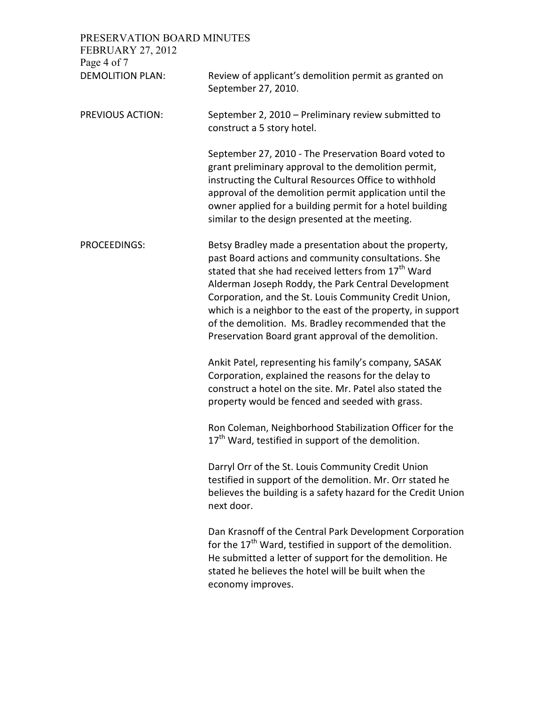| PRESERVATION BOARD MINUTES<br><b>FEBRUARY 27, 2012</b><br>Page 4 of 7 |                                                                                                                                                                                                                                                                                                                                                                                                                                                                                |
|-----------------------------------------------------------------------|--------------------------------------------------------------------------------------------------------------------------------------------------------------------------------------------------------------------------------------------------------------------------------------------------------------------------------------------------------------------------------------------------------------------------------------------------------------------------------|
| <b>DEMOLITION PLAN:</b>                                               | Review of applicant's demolition permit as granted on<br>September 27, 2010.                                                                                                                                                                                                                                                                                                                                                                                                   |
| <b>PREVIOUS ACTION:</b>                                               | September 2, 2010 - Preliminary review submitted to<br>construct a 5 story hotel.                                                                                                                                                                                                                                                                                                                                                                                              |
|                                                                       | September 27, 2010 - The Preservation Board voted to<br>grant preliminary approval to the demolition permit,<br>instructing the Cultural Resources Office to withhold<br>approval of the demolition permit application until the<br>owner applied for a building permit for a hotel building<br>similar to the design presented at the meeting.                                                                                                                                |
| <b>PROCEEDINGS:</b>                                                   | Betsy Bradley made a presentation about the property,<br>past Board actions and community consultations. She<br>stated that she had received letters from 17 <sup>th</sup> Ward<br>Alderman Joseph Roddy, the Park Central Development<br>Corporation, and the St. Louis Community Credit Union,<br>which is a neighbor to the east of the property, in support<br>of the demolition. Ms. Bradley recommended that the<br>Preservation Board grant approval of the demolition. |
|                                                                       | Ankit Patel, representing his family's company, SASAK<br>Corporation, explained the reasons for the delay to<br>construct a hotel on the site. Mr. Patel also stated the<br>property would be fenced and seeded with grass.                                                                                                                                                                                                                                                    |
|                                                                       | Ron Coleman, Neighborhood Stabilization Officer for the<br>17 <sup>th</sup> Ward, testified in support of the demolition.                                                                                                                                                                                                                                                                                                                                                      |
|                                                                       | Darryl Orr of the St. Louis Community Credit Union<br>testified in support of the demolition. Mr. Orr stated he<br>believes the building is a safety hazard for the Credit Union<br>next door.                                                                                                                                                                                                                                                                                 |
|                                                                       | Dan Krasnoff of the Central Park Development Corporation<br>for the 17 <sup>th</sup> Ward, testified in support of the demolition.<br>He submitted a letter of support for the demolition. He<br>stated he believes the hotel will be built when the<br>economy improves.                                                                                                                                                                                                      |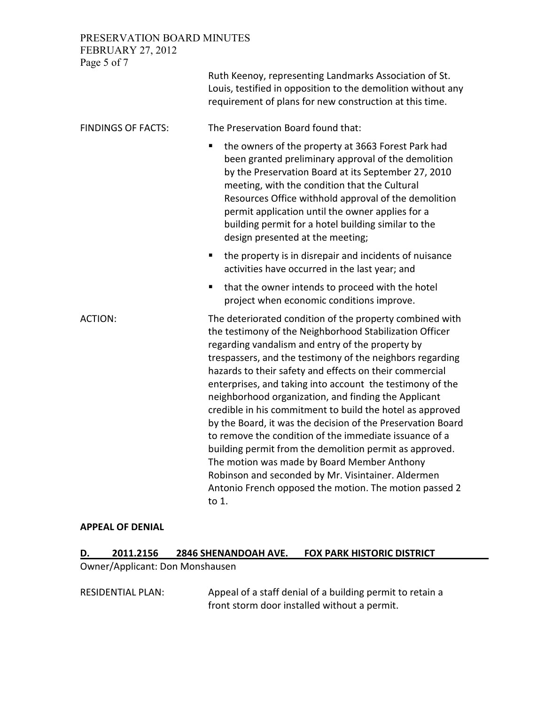## PRESERVATION BOARD MINUTES

| <b>FEBRUARY 27, 2012</b><br>Page 5 of 7 |                                                                                                                                                                                                                                                                                                                                                                                                                                                                                                                                                                                                                                                                                                                                                                                                                                               |
|-----------------------------------------|-----------------------------------------------------------------------------------------------------------------------------------------------------------------------------------------------------------------------------------------------------------------------------------------------------------------------------------------------------------------------------------------------------------------------------------------------------------------------------------------------------------------------------------------------------------------------------------------------------------------------------------------------------------------------------------------------------------------------------------------------------------------------------------------------------------------------------------------------|
|                                         | Ruth Keenoy, representing Landmarks Association of St.<br>Louis, testified in opposition to the demolition without any<br>requirement of plans for new construction at this time.                                                                                                                                                                                                                                                                                                                                                                                                                                                                                                                                                                                                                                                             |
| <b>FINDINGS OF FACTS:</b>               | The Preservation Board found that:                                                                                                                                                                                                                                                                                                                                                                                                                                                                                                                                                                                                                                                                                                                                                                                                            |
|                                         | the owners of the property at 3663 Forest Park had<br>П<br>been granted preliminary approval of the demolition<br>by the Preservation Board at its September 27, 2010<br>meeting, with the condition that the Cultural<br>Resources Office withhold approval of the demolition<br>permit application until the owner applies for a<br>building permit for a hotel building similar to the<br>design presented at the meeting;                                                                                                                                                                                                                                                                                                                                                                                                                 |
|                                         | the property is in disrepair and incidents of nuisance<br>п<br>activities have occurred in the last year; and                                                                                                                                                                                                                                                                                                                                                                                                                                                                                                                                                                                                                                                                                                                                 |
|                                         | that the owner intends to proceed with the hotel<br>П<br>project when economic conditions improve.                                                                                                                                                                                                                                                                                                                                                                                                                                                                                                                                                                                                                                                                                                                                            |
| <b>ACTION:</b>                          | The deteriorated condition of the property combined with<br>the testimony of the Neighborhood Stabilization Officer<br>regarding vandalism and entry of the property by<br>trespassers, and the testimony of the neighbors regarding<br>hazards to their safety and effects on their commercial<br>enterprises, and taking into account the testimony of the<br>neighborhood organization, and finding the Applicant<br>credible in his commitment to build the hotel as approved<br>by the Board, it was the decision of the Preservation Board<br>to remove the condition of the immediate issuance of a<br>building permit from the demolition permit as approved.<br>The motion was made by Board Member Anthony<br>Robinson and seconded by Mr. Visintainer. Aldermen<br>Antonio French opposed the motion. The motion passed 2<br>to 1. |

#### APPEAL OF DENIAL

# D. 2011.2156 2846 SHENANDOAH AVE. FOX PARK HISTORIC DISTRICT

Owner/Applicant: Don Monshausen

RESIDENTIAL PLAN: Appeal of a staff denial of a building permit to retain a front storm door installed without a permit.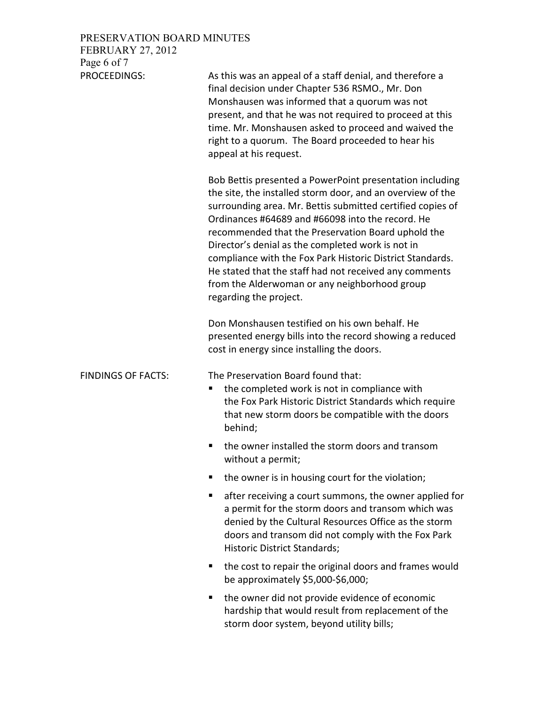| PRESERVATION BOARD MINUTES |                    |
|----------------------------|--------------------|
| FEBRUARY 27, 2012          |                    |
| Page 6 of 7                |                    |
| PROCEFDINGS.               | $\Delta$ s this wa |

| PROCEEDINGS:              | As this was an appeal of a staff denial, and therefore a<br>final decision under Chapter 536 RSMO., Mr. Don<br>Monshausen was informed that a quorum was not<br>present, and that he was not required to proceed at this<br>time. Mr. Monshausen asked to proceed and waived the<br>right to a quorum. The Board proceeded to hear his<br>appeal at his request.                                                                                                                                                                                      |
|---------------------------|-------------------------------------------------------------------------------------------------------------------------------------------------------------------------------------------------------------------------------------------------------------------------------------------------------------------------------------------------------------------------------------------------------------------------------------------------------------------------------------------------------------------------------------------------------|
|                           | Bob Bettis presented a PowerPoint presentation including<br>the site, the installed storm door, and an overview of the<br>surrounding area. Mr. Bettis submitted certified copies of<br>Ordinances #64689 and #66098 into the record. He<br>recommended that the Preservation Board uphold the<br>Director's denial as the completed work is not in<br>compliance with the Fox Park Historic District Standards.<br>He stated that the staff had not received any comments<br>from the Alderwoman or any neighborhood group<br>regarding the project. |
|                           | Don Monshausen testified on his own behalf. He<br>presented energy bills into the record showing a reduced<br>cost in energy since installing the doors.                                                                                                                                                                                                                                                                                                                                                                                              |
| <b>FINDINGS OF FACTS:</b> | The Preservation Board found that:<br>the completed work is not in compliance with<br>п<br>the Fox Park Historic District Standards which require<br>that new storm doors be compatible with the doors<br>behind;                                                                                                                                                                                                                                                                                                                                     |
|                           | the owner installed the storm doors and transom<br>п<br>without a permit;                                                                                                                                                                                                                                                                                                                                                                                                                                                                             |
|                           | the owner is in housing court for the violation;                                                                                                                                                                                                                                                                                                                                                                                                                                                                                                      |
|                           | after receiving a court summons, the owner applied for<br>п<br>a permit for the storm doors and transom which was<br>denied by the Cultural Resources Office as the storm<br>doors and transom did not comply with the Fox Park<br>Historic District Standards;                                                                                                                                                                                                                                                                                       |
|                           | the cost to repair the original doors and frames would<br>п<br>be approximately \$5,000-\$6,000;                                                                                                                                                                                                                                                                                                                                                                                                                                                      |
|                           | the owner did not provide evidence of economic<br>hardship that would result from replacement of the<br>storm door system, beyond utility bills;                                                                                                                                                                                                                                                                                                                                                                                                      |